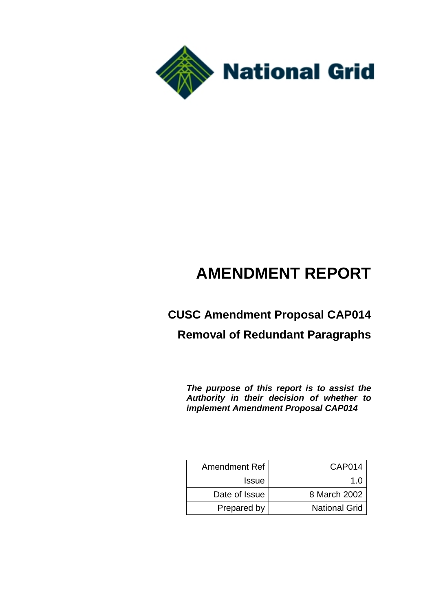

# **AMENDMENT REPORT**

# **CUSC Amendment Proposal CAP014 Removal of Redundant Paragraphs**

*The purpose of this report is to assist the Authority in their decision of whether to implement Amendment Proposal CAP014*

| <b>Amendment Ref</b> | CAP014               |
|----------------------|----------------------|
| <b>Issue</b>         | 1 በ                  |
| Date of Issue        | 8 March 2002         |
| Prepared by          | <b>National Grid</b> |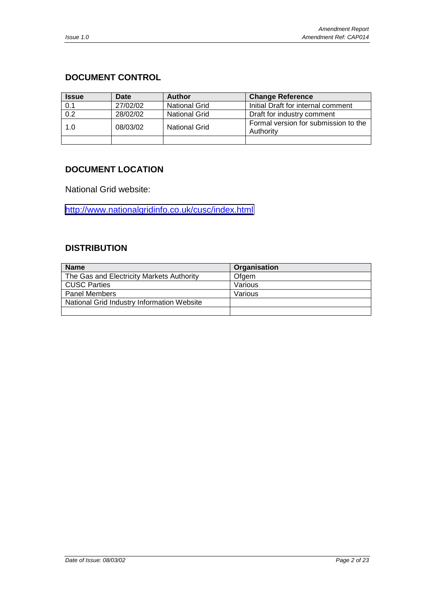# <span id="page-1-0"></span>**DOCUMENT CONTROL**

| <b>Issue</b> | Date     | <b>Author</b>        | <b>Change Reference</b>                           |
|--------------|----------|----------------------|---------------------------------------------------|
| 0.1          | 27/02/02 | <b>National Grid</b> | Initial Draft for internal comment                |
| 0.2          | 28/02/02 | <b>National Grid</b> | Draft for industry comment                        |
| 1.0          | 08/03/02 | <b>National Grid</b> | Formal version for submission to the<br>Authority |
|              |          |                      |                                                   |

## **DOCUMENT LOCATION**

National Grid website:

<http://www.nationalgridinfo.co.uk/cusc/index.html>

### **DISTRIBUTION**

| <b>Name</b>                                | Organisation |
|--------------------------------------------|--------------|
| The Gas and Electricity Markets Authority  | Ofgem        |
| <b>CUSC Parties</b>                        | Various      |
| <b>Panel Members</b>                       | Various      |
| National Grid Industry Information Website |              |
|                                            |              |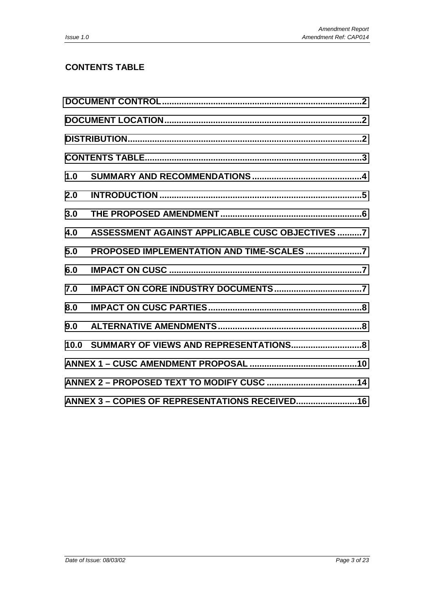# **CONTENTS TABLE**

| 1.0  |                                                 |  |
|------|-------------------------------------------------|--|
| 2.0  |                                                 |  |
| 3.0  |                                                 |  |
| 4.0  | ASSESSMENT AGAINST APPLICABLE CUSC OBJECTIVES 7 |  |
| 5.0  |                                                 |  |
| 6.0  |                                                 |  |
| 7.0  |                                                 |  |
| 8.0  |                                                 |  |
| 9.0  |                                                 |  |
| 10.0 |                                                 |  |
|      |                                                 |  |
|      |                                                 |  |
|      | ANNEX 3 - COPIES OF REPRESENTATIONS RECEIVED 16 |  |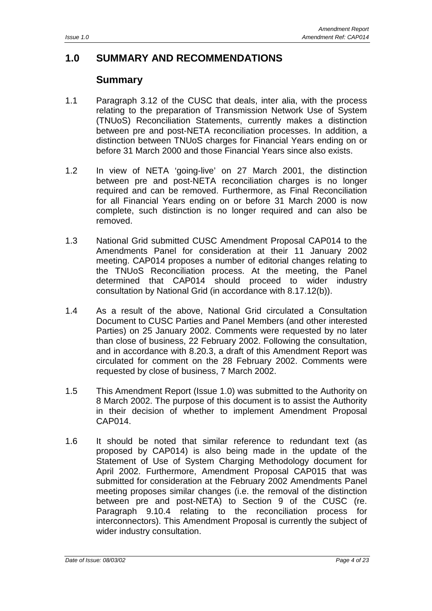# <span id="page-3-0"></span>**1.0 SUMMARY AND RECOMMENDATIONS**

# **Summary**

- 1.1 Paragraph 3.12 of the CUSC that deals, inter alia, with the process relating to the preparation of Transmission Network Use of System (TNUoS) Reconciliation Statements, currently makes a distinction between pre and post-NETA reconciliation processes. In addition, a distinction between TNUoS charges for Financial Years ending on or before 31 March 2000 and those Financial Years since also exists.
- 1.2 In view of NETA 'going-live' on 27 March 2001, the distinction between pre and post-NETA reconciliation charges is no longer required and can be removed. Furthermore, as Final Reconciliation for all Financial Years ending on or before 31 March 2000 is now complete, such distinction is no longer required and can also be removed.
- 1.3 National Grid submitted CUSC Amendment Proposal CAP014 to the Amendments Panel for consideration at their 11 January 2002 meeting. CAP014 proposes a number of editorial changes relating to the TNUoS Reconciliation process. At the meeting, the Panel determined that CAP014 should proceed to wider industry consultation by National Grid (in accordance with 8.17.12(b)).
- 1.4 As a result of the above, National Grid circulated a Consultation Document to CUSC Parties and Panel Members (and other interested Parties) on 25 January 2002. Comments were requested by no later than close of business, 22 February 2002. Following the consultation, and in accordance with 8.20.3, a draft of this Amendment Report was circulated for comment on the 28 February 2002. Comments were requested by close of business, 7 March 2002.
- 1.5 This Amendment Report (Issue 1.0) was submitted to the Authority on 8 March 2002. The purpose of this document is to assist the Authority in their decision of whether to implement Amendment Proposal CAP014.
- 1.6 It should be noted that similar reference to redundant text (as proposed by CAP014) is also being made in the update of the Statement of Use of System Charging Methodology document for April 2002. Furthermore, Amendment Proposal CAP015 that was submitted for consideration at the February 2002 Amendments Panel meeting proposes similar changes (i.e. the removal of the distinction between pre and post-NETA) to Section 9 of the CUSC (re. Paragraph 9.10.4 relating to the reconciliation process for interconnectors). This Amendment Proposal is currently the subject of wider industry consultation.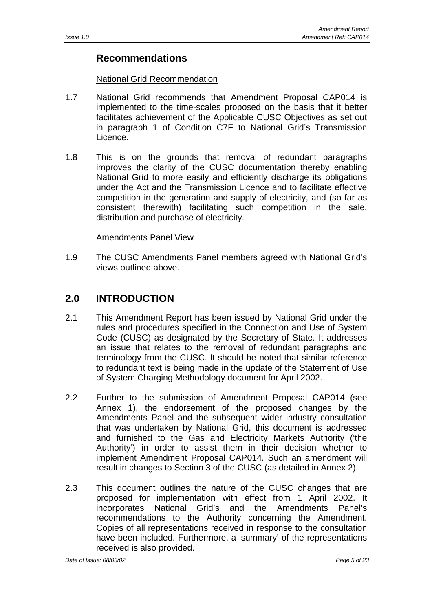# <span id="page-4-0"></span>**Recommendations**

### National Grid Recommendation

- 1.7 National Grid recommends that Amendment Proposal CAP014 is implemented to the time-scales proposed on the basis that it better facilitates achievement of the Applicable CUSC Objectives as set out in paragraph 1 of Condition C7F to National Grid's Transmission Licence.
- 1.8 This is on the grounds that removal of redundant paragraphs improves the clarity of the CUSC documentation thereby enabling National Grid to more easily and efficiently discharge its obligations under the Act and the Transmission Licence and to facilitate effective competition in the generation and supply of electricity, and (so far as consistent therewith) facilitating such competition in the sale, distribution and purchase of electricity.

### Amendments Panel View

1.9 The CUSC Amendments Panel members agreed with National Grid's views outlined above.

# **2.0 INTRODUCTION**

- 2.1 This Amendment Report has been issued by National Grid under the rules and procedures specified in the Connection and Use of System Code (CUSC) as designated by the Secretary of State. It addresses an issue that relates to the removal of redundant paragraphs and terminology from the CUSC. It should be noted that similar reference to redundant text is being made in the update of the Statement of Use of System Charging Methodology document for April 2002.
- 2.2 Further to the submission of Amendment Proposal CAP014 (see Annex 1), the endorsement of the proposed changes by the Amendments Panel and the subsequent wider industry consultation that was undertaken by National Grid, this document is addressed and furnished to the Gas and Electricity Markets Authority ('the Authority') in order to assist them in their decision whether to implement Amendment Proposal CAP014. Such an amendment will result in changes to Section 3 of the CUSC (as detailed in Annex 2).
- 2.3 This document outlines the nature of the CUSC changes that are proposed for implementation with effect from 1 April 2002. It incorporates National Grid's and the Amendments Panel's recommendations to the Authority concerning the Amendment. Copies of all representations received in response to the consultation have been included. Furthermore, a 'summary' of the representations received is also provided.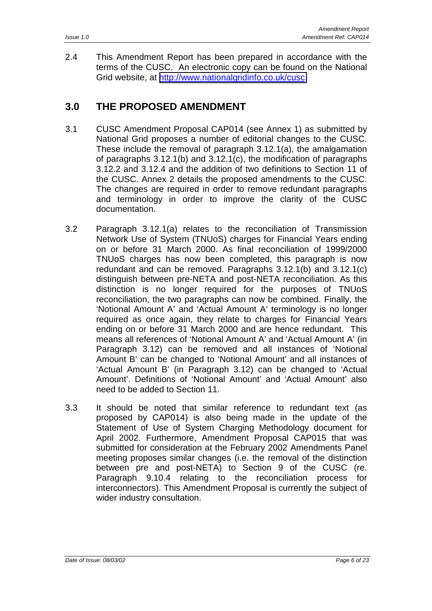<span id="page-5-0"></span>2.4 This Amendment Report has been prepared in accordance with the terms of the CUSC. An electronic copy can be found on the National Grid website, at [http://www.nationalgridinfo.co.uk/cusc.](http://www.nationalgridinfo.co.uk/cusc)

# **3.0 THE PROPOSED AMENDMENT**

- 3.1 CUSC Amendment Proposal CAP014 (see Annex 1) as submitted by National Grid proposes a number of editorial changes to the CUSC. These include the removal of paragraph 3.12.1(a), the amalgamation of paragraphs 3.12.1(b) and 3.12.1(c), the modification of paragraphs 3.12.2 and 3.12.4 and the addition of two definitions to Section 11 of the CUSC. Annex 2 details the proposed amendments to the CUSC. The changes are required in order to remove redundant paragraphs and terminology in order to improve the clarity of the CUSC documentation.
- 3.2 Paragraph 3.12.1(a) relates to the reconciliation of Transmission Network Use of System (TNUoS) charges for Financial Years ending on or before 31 March 2000. As final reconciliation of 1999/2000 TNUoS charges has now been completed, this paragraph is now redundant and can be removed. Paragraphs 3.12.1(b) and 3.12.1(c) distinguish between pre-NETA and post-NETA reconciliation. As this distinction is no longer required for the purposes of TNUoS reconciliation, the two paragraphs can now be combined. Finally, the 'Notional Amount A' and 'Actual Amount A' terminology is no longer required as once again, they relate to charges for Financial Years ending on or before 31 March 2000 and are hence redundant. This means all references of 'Notional Amount A' and 'Actual Amount A' (in Paragraph 3.12) can be removed and all instances of 'Notional Amount B' can be changed to 'Notional Amount' and all instances of 'Actual Amount B' (in Paragraph 3.12) can be changed to 'Actual Amount'. Definitions of 'Notional Amount' and 'Actual Amount' also need to be added to Section 11.
- 3.3 It should be noted that similar reference to redundant text (as proposed by CAP014) is also being made in the update of the Statement of Use of System Charging Methodology document for April 2002. Furthermore, Amendment Proposal CAP015 that was submitted for consideration at the February 2002 Amendments Panel meeting proposes similar changes (i.e. the removal of the distinction between pre and post-NETA) to Section 9 of the CUSC (re. Paragraph 9.10.4 relating to the reconciliation process for interconnectors). This Amendment Proposal is currently the subject of wider industry consultation.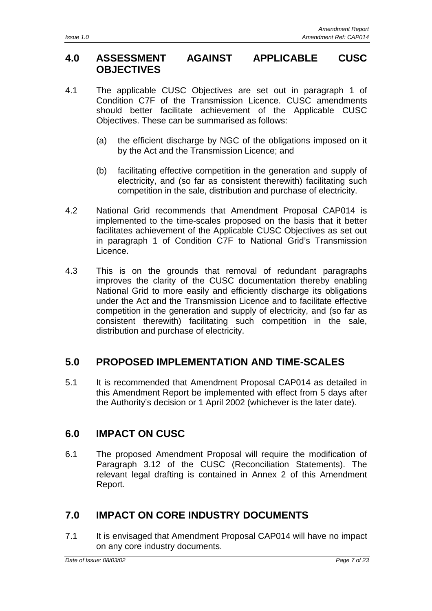# <span id="page-6-0"></span>**4.0 ASSESSMENT AGAINST APPLICABLE CUSC OBJECTIVES**

- 4.1 The applicable CUSC Objectives are set out in paragraph 1 of Condition C7F of the Transmission Licence. CUSC amendments should better facilitate achievement of the Applicable CUSC Objectives. These can be summarised as follows:
	- (a) the efficient discharge by NGC of the obligations imposed on it by the Act and the Transmission Licence; and
	- (b) facilitating effective competition in the generation and supply of electricity, and (so far as consistent therewith) facilitating such competition in the sale, distribution and purchase of electricity.
- 4.2 National Grid recommends that Amendment Proposal CAP014 is implemented to the time-scales proposed on the basis that it better facilitates achievement of the Applicable CUSC Objectives as set out in paragraph 1 of Condition C7F to National Grid's Transmission Licence.
- 4.3 This is on the grounds that removal of redundant paragraphs improves the clarity of the CUSC documentation thereby enabling National Grid to more easily and efficiently discharge its obligations under the Act and the Transmission Licence and to facilitate effective competition in the generation and supply of electricity, and (so far as consistent therewith) facilitating such competition in the sale, distribution and purchase of electricity.

# **5.0 PROPOSED IMPLEMENTATION AND TIME-SCALES**

5.1 It is recommended that Amendment Proposal CAP014 as detailed in this Amendment Report be implemented with effect from 5 days after the Authority's decision or 1 April 2002 (whichever is the later date).

# **6.0 IMPACT ON CUSC**

6.1 The proposed Amendment Proposal will require the modification of Paragraph 3.12 of the CUSC (Reconciliation Statements). The relevant legal drafting is contained in Annex 2 of this Amendment Report.

# **7.0 IMPACT ON CORE INDUSTRY DOCUMENTS**

7.1 It is envisaged that Amendment Proposal CAP014 will have no impact on any core industry documents.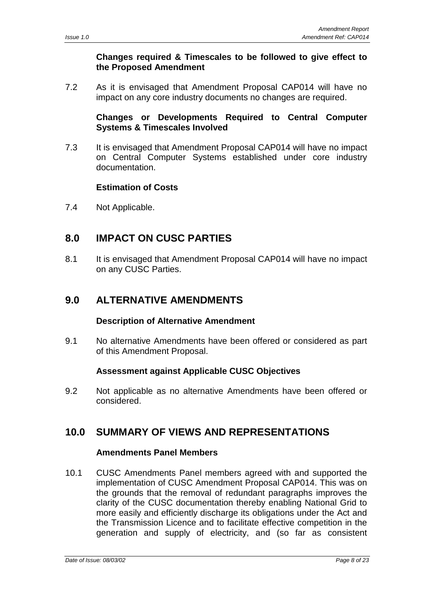### **Changes required & Timescales to be followed to give effect to the Proposed Amendment**

<span id="page-7-0"></span>7.2 As it is envisaged that Amendment Proposal CAP014 will have no impact on any core industry documents no changes are required.

### **Changes or Developments Required to Central Computer Systems & Timescales Involved**

7.3 It is envisaged that Amendment Proposal CAP014 will have no impact on Central Computer Systems established under core industry documentation.

### **Estimation of Costs**

7.4 Not Applicable.

# **8.0 IMPACT ON CUSC PARTIES**

8.1 It is envisaged that Amendment Proposal CAP014 will have no impact on any CUSC Parties.

# **9.0 ALTERNATIVE AMENDMENTS**

### **Description of Alternative Amendment**

9.1 No alternative Amendments have been offered or considered as part of this Amendment Proposal.

### **Assessment against Applicable CUSC Objectives**

9.2 Not applicable as no alternative Amendments have been offered or considered.

# **10.0 SUMMARY OF VIEWS AND REPRESENTATIONS**

### **Amendments Panel Members**

10.1 CUSC Amendments Panel members agreed with and supported the implementation of CUSC Amendment Proposal CAP014. This was on the grounds that the removal of redundant paragraphs improves the clarity of the CUSC documentation thereby enabling National Grid to more easily and efficiently discharge its obligations under the Act and the Transmission Licence and to facilitate effective competition in the generation and supply of electricity, and (so far as consistent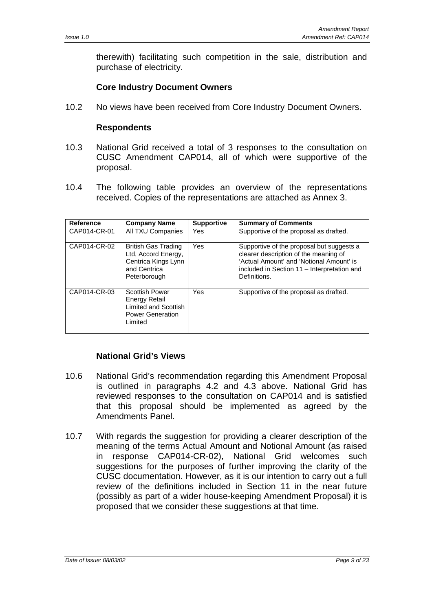therewith) facilitating such competition in the sale, distribution and purchase of electricity.

### **Core Industry Document Owners**

10.2 No views have been received from Core Industry Document Owners.

### **Respondents**

- 10.3 National Grid received a total of 3 responses to the consultation on CUSC Amendment CAP014, all of which were supportive of the proposal.
- 10.4 The following table provides an overview of the representations received. Copies of the representations are attached as Annex 3.

| <b>Reference</b> | <b>Company Name</b>                                                                                      | <b>Supportive</b> | <b>Summary of Comments</b>                                                                                                                                                                    |
|------------------|----------------------------------------------------------------------------------------------------------|-------------------|-----------------------------------------------------------------------------------------------------------------------------------------------------------------------------------------------|
| CAP014-CR-01     | All TXU Companies                                                                                        | Yes               | Supportive of the proposal as drafted.                                                                                                                                                        |
| CAP014-CR-02     | <b>British Gas Trading</b><br>Ltd, Accord Energy,<br>Centrica Kings Lynn<br>and Centrica<br>Peterborough | Yes               | Supportive of the proposal but suggests a<br>clearer description of the meaning of<br>'Actual Amount' and 'Notional Amount' is<br>included in Section 11 – Interpretation and<br>Definitions. |
| CAP014-CR-03     | <b>Scottish Power</b><br>Energy Retail<br>Limited and Scottish<br><b>Power Generation</b><br>Limited     | Yes               | Supportive of the proposal as drafted.                                                                                                                                                        |

### **National Grid's Views**

- 10.6 National Grid's recommendation regarding this Amendment Proposal is outlined in paragraphs 4.2 and 4.3 above. National Grid has reviewed responses to the consultation on CAP014 and is satisfied that this proposal should be implemented as agreed by the Amendments Panel.
- 10.7 With regards the suggestion for providing a clearer description of the meaning of the terms Actual Amount and Notional Amount (as raised in response CAP014-CR-02), National Grid welcomes such suggestions for the purposes of further improving the clarity of the CUSC documentation. However, as it is our intention to carry out a full review of the definitions included in Section 11 in the near future (possibly as part of a wider house-keeping Amendment Proposal) it is proposed that we consider these suggestions at that time.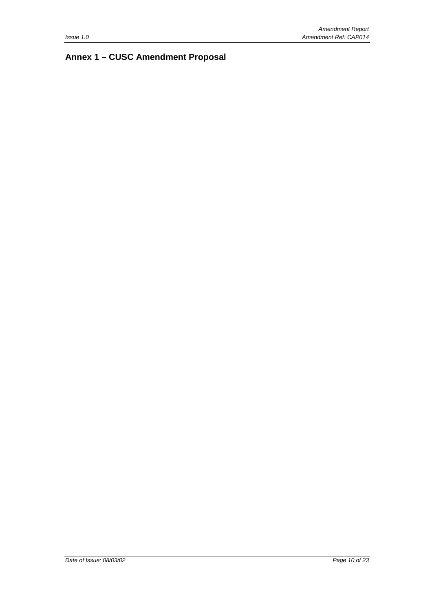# <span id="page-9-0"></span>**Annex 1 – CUSC Amendment Proposal**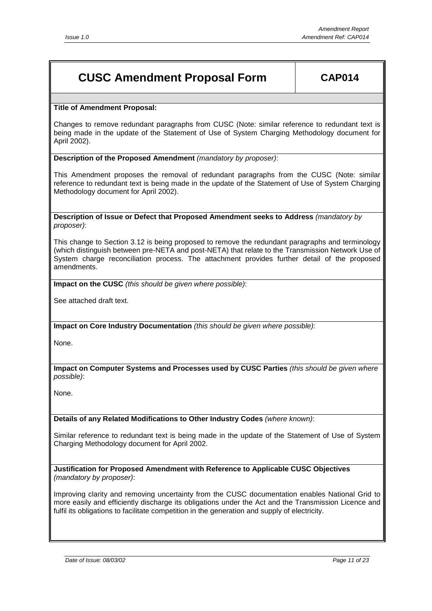# **CUSC Amendment Proposal Form CAP014**

#### **Title of Amendment Proposal:**

Changes to remove redundant paragraphs from CUSC (Note: similar reference to redundant text is being made in the update of the Statement of Use of System Charging Methodology document for April 2002).

#### **Description of the Proposed Amendment** *(mandatory by proposer)*:

This Amendment proposes the removal of redundant paragraphs from the CUSC (Note: similar reference to redundant text is being made in the update of the Statement of Use of System Charging Methodology document for April 2002).

**Description of Issue or Defect that Proposed Amendment seeks to Address** *(mandatory by proposer)*:

This change to Section 3.12 is being proposed to remove the redundant paragraphs and terminology (which distinguish between pre-NETA and post-NETA) that relate to the Transmission Network Use of System charge reconciliation process. The attachment provides further detail of the proposed amendments.

**Impact on the CUSC** *(this should be given where possible)*:

See attached draft text.

**Impact on Core Industry Documentation** *(this should be given where possible)*:

None.

**Impact on Computer Systems and Processes used by CUSC Parties** *(this should be given where possible)*:

None.

**Details of any Related Modifications to Other Industry Codes** *(where known)*:

Similar reference to redundant text is being made in the update of the Statement of Use of System Charging Methodology document for April 2002.

**Justification for Proposed Amendment with Reference to Applicable CUSC Objectives** *(mandatory by proposer)*:

Improving clarity and removing uncertainty from the CUSC documentation enables National Grid to more easily and efficiently discharge its obligations under the Act and the Transmission Licence and fulfil its obligations to facilitate competition in the generation and supply of electricity.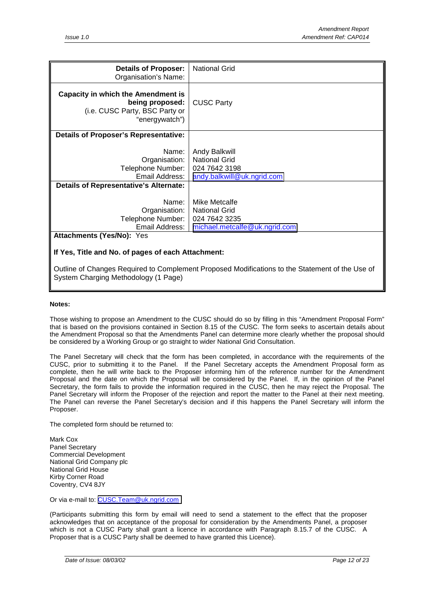| <b>Details of Proposer:</b><br>Organisation's Name:                                                              | <b>National Grid</b>                                                                        |
|------------------------------------------------------------------------------------------------------------------|---------------------------------------------------------------------------------------------|
| <b>Capacity in which the Amendment is</b><br>being proposed:<br>(i.e. CUSC Party, BSC Party or<br>"energywatch") | <b>CUSC Party</b>                                                                           |
| <b>Details of Proposer's Representative:</b>                                                                     |                                                                                             |
| Name:<br>Organisation:<br>Telephone Number:<br>Email Address:<br><b>Details of Representative's Alternate:</b>   | <b>Andy Balkwill</b><br><b>National Grid</b><br>024 7642 3198<br>andy.balkwill@uk.ngrid.com |
| Name:                                                                                                            | Mike Metcalfe                                                                               |
| Organisation:                                                                                                    | <b>National Grid</b>                                                                        |
| Telephone Number:                                                                                                | 024 7642 3235                                                                               |
| Email Address:                                                                                                   | michael.metcalfe@uk.ngrid.com                                                               |
| <b>Attachments (Yes/No): Yes</b>                                                                                 |                                                                                             |
| If Yes, Title and No. of pages of each Attachment:                                                               |                                                                                             |

Outline of Changes Required to Complement Proposed Modifications to the Statement of the Use of System Charging Methodology (1 Page)

#### **Notes:**

Those wishing to propose an Amendment to the CUSC should do so by filling in this "Amendment Proposal Form" that is based on the provisions contained in Section 8.15 of the CUSC. The form seeks to ascertain details about the Amendment Proposal so that the Amendments Panel can determine more clearly whether the proposal should be considered by a Working Group or go straight to wider National Grid Consultation.

The Panel Secretary will check that the form has been completed, in accordance with the requirements of the CUSC, prior to submitting it to the Panel. If the Panel Secretary accepts the Amendment Proposal form as complete, then he will write back to the Proposer informing him of the reference number for the Amendment Proposal and the date on which the Proposal will be considered by the Panel. If, in the opinion of the Panel Secretary, the form fails to provide the information required in the CUSC, then he may reject the Proposal. The Panel Secretary will inform the Proposer of the rejection and report the matter to the Panel at their next meeting. The Panel can reverse the Panel Secretary's decision and if this happens the Panel Secretary will inform the Proposer.

The completed form should be returned to:

Mark Cox Panel Secretary Commercial Development National Grid Company plc National Grid House Kirby Corner Road Coventry, CV4 8JY

Or via e-mail to: [CUSC.Team@uk.ngrid.com](mailto:CUSC.Team@uk.ngrid.com)

(Participants submitting this form by email will need to send a statement to the effect that the proposer acknowledges that on acceptance of the proposal for consideration by the Amendments Panel, a proposer which is not a CUSC Party shall grant a licence in accordance with Paragraph 8.15.7 of the CUSC. A Proposer that is a CUSC Party shall be deemed to have granted this Licence).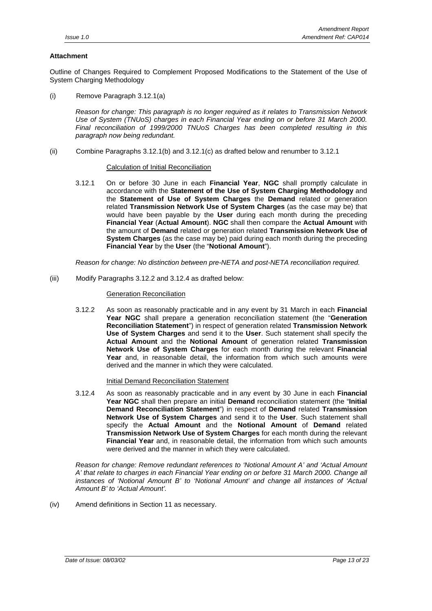### **Attachment**

Outline of Changes Required to Complement Proposed Modifications to the Statement of the Use of System Charging Methodology

(i) Remove Paragraph 3.12.1(a)

*Reason for change: This paragraph is no longer required as it relates to Transmission Network Use of System (TNUoS) charges in each Financial Year ending on or before 31 March 2000. Final reconciliation of 1999/2000 TNUoS Charges has been completed resulting in this paragraph now being redundant.*

(ii) Combine Paragraphs 3.12.1(b) and 3.12.1(c) as drafted below and renumber to 3.12.1

#### Calculation of Initial Reconciliation

3.12.1 On or before 30 June in each **Financial Year**, **NGC** shall promptly calculate in accordance with the **Statement of the Use of System Charging Methodology** and the **Statement of Use of System Charges** the **Demand** related or generation related **Transmission Network Use of System Charges** (as the case may be) that would have been payable by the **User** during each month during the preceding **Financial Year** (**Actual Amount**). **NGC** shall then compare the **Actual Amount** with the amount of **Demand** related or generation related **Transmission Network Use of System Charges** (as the case may be) paid during each month during the preceding **Financial Year** by the **User** (the "**Notional Amount**").

*Reason for change: No distinction between pre-NETA and post-NETA reconciliation required.*

(iii) Modify Paragraphs 3.12.2 and 3.12.4 as drafted below:

#### Generation Reconciliation

3.12.2 As soon as reasonably practicable and in any event by 31 March in each **Financial Year NGC** shall prepare a generation reconciliation statement (the "**Generation Reconciliation Statement**") in respect of generation related **Transmission Network Use of System Charges** and send it to the **User**. Such statement shall specify the **Actual Amount** and the **Notional Amount** of generation related **Transmission Network Use of System Charges** for each month during the relevant **Financial Year** and, in reasonable detail, the information from which such amounts were derived and the manner in which they were calculated.

#### Initial Demand Reconciliation Statement

3.12.4 As soon as reasonably practicable and in any event by 30 June in each **Financial Year NGC** shall then prepare an initial **Demand** reconciliation statement (the "**Initial Demand Reconciliation Statement**") in respect of **Demand** related **Transmission Network Use of System Charges** and send it to the **User**. Such statement shall specify the **Actual Amount** and the **Notional Amount** of **Demand** related **Transmission Network Use of System Charges** for each month during the relevant **Financial Year** and, in reasonable detail, the information from which such amounts were derived and the manner in which they were calculated.

*Reason for change: Remove redundant references to 'Notional Amount A' and 'Actual Amount A' that relate to charges in each Financial Year ending on or before 31 March 2000. Change all instances of 'Notional Amount B' to 'Notional Amount' and change all instances of 'Actual Amount B' to 'Actual Amount'.*

(iv) Amend definitions in Section 11 as necessary.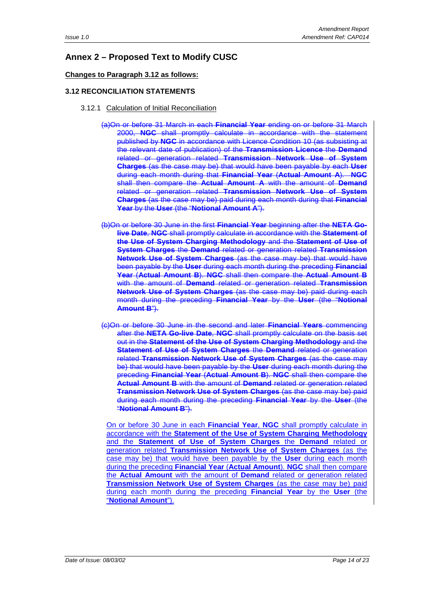### <span id="page-13-0"></span>**Annex 2 – Proposed Text to Modify CUSC**

### **Changes to Paragraph 3.12 as follows:**

### **3.12 RECONCILIATION STATEMENTS**

- 3.12.1 Calculation of Initial Reconciliation
	- (a)On or before 31 March in each **Financial Year** ending on or before 31 March 2000, **NGC** shall promptly calculate in accordance with the statement published by **NGC** in accordance with Licence Condition 10 (as subsisting at the relevant date of publication) of the **Transmission Licence** the **Demand** related or generation related **Transmission Network Use of System Charges** (as the case may be) that would have been payable by each **User** during each month during that **Financial Year** (**Actual Amount A**). **NGC** shall then compare the **Actual Amount A** with the amount of **Demand** related or generation related **Transmission Network Use of System Charges** (as the case may be) paid during each month during that **Financial Year** by the **User** (the "**Notional Amount A**").
	- (b)On or before 30 June in the first **Financial Year** beginning after the **NETA Golive Date**, **NGC** shall promptly calculate in accordance with the **Statement of the Use of System Charging Methodology** and the **Statement of Use of System Charges** the **Demand** related or generation related **Transmission Network Use of System Charges** (as the case may be) that would have been payable by the **User** during each month during the preceding **Financial Year** (**Actual Amount B**). **NGC** shall then compare the **Actual Amount B** with the amount of **Demand** related or generation related **Transmission Network Use of System Charges** (as the case may be) paid during each month during the preceding **Financial Year** by the **User** (the "**Notional Amount B**").
	- (c)On or before 30 June in the second and later **Financial Years** commencing after the **NETA Go-live Date**, **NGC** shall promptly calculate on the basis set out in the **Statement of the Use of System Charging Methodology** and the **Statement of Use of System Charges** the **Demand** related or generation related **Transmission Network Use of System Charges** (as the case may be) that would have been payable by the **User** during each month during the preceding **Financial Year** (**Actual Amount B**). **NGC** shall then compare the **Actual Amount B** with the amount of **Demand** related or generation related **Transmission Network Use of System Charges** (as the case may be) paid during each month during the preceding **Financial Year** by the **User** (the "**Notional Amount B**").

On or before 30 June in each **Financial Year**, **NGC** shall promptly calculate in accordance with the **Statement of the Use of System Charging Methodology** and the **Statement of Use of System Charges** the **Demand** related or generation related **Transmission Network Use of System Charges** (as the case may be) that would have been payable by the **User** during each month during the preceding **Financial Year** (**Actual Amount**). **NGC** shall then compare the **Actual Amount** with the amount of **Demand** related or generation related **Transmission Network Use of System Charges** (as the case may be) paid during each month during the preceding **Financial Year** by the **User** (the "**Notional Amount**").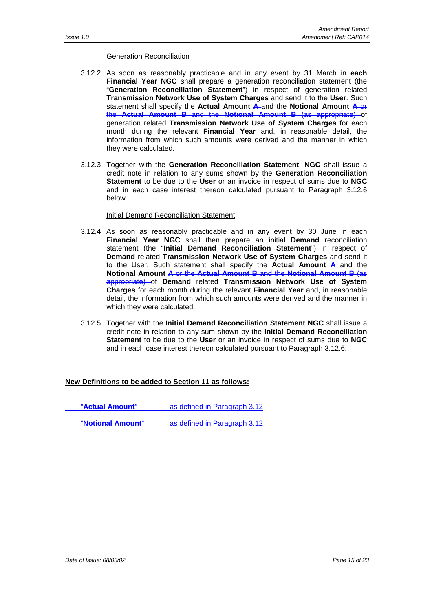#### Generation Reconciliation

- 3.12.2 As soon as reasonably practicable and in any event by 31 March in **each Financial Year NGC** shall prepare a generation reconciliation statement (the "**Generation Reconciliation Statement**") in respect of generation related **Transmission Network Use of System Charges** and send it to the **User**. Such statement shall specify the **Actual Amount A** and the **Notional Amount A** or the **Actual Amount B** and the **Notional Amount B** (as appropriate) of generation related **Transmission Network Use of System Charges** for each month during the relevant **Financial Year** and, in reasonable detail, the information from which such amounts were derived and the manner in which they were calculated.
- 3.12.3 Together with the **Generation Reconciliation Statement**, **NGC** shall issue a credit note in relation to any sums shown by the **Generation Reconciliation Statement** to be due to the **User** or an invoice in respect of sums due to **NGC** and in each case interest thereon calculated pursuant to Paragraph 3.12.6 below.

#### Initial Demand Reconciliation Statement

- 3.12.4 As soon as reasonably practicable and in any event by 30 June in each **Financial Year NGC** shall then prepare an initial **Demand** reconciliation statement (the "**Initial Demand Reconciliation Statement**") in respect of **Demand** related **Transmission Network Use of System Charges** and send it to the User. Such statement shall specify the **Actual Amount A** and the **Notional Amount A** or the **Actual Amount B** and the **Notional Amount B** (as appropriate) of **Demand** related **Transmission Network Use of System Charges** for each month during the relevant **Financial Year** and, in reasonable detail, the information from which such amounts were derived and the manner in which they were calculated.
- 3.12.5 Together with the **Initial Demand Reconciliation Statement NGC** shall issue a credit note in relation to any sum shown by the **Initial Demand Reconciliation Statement** to be due to the **User** or an invoice in respect of sums due to **NGC** and in each case interest thereon calculated pursuant to Paragraph 3.12.6.

### **New Definitions to be added to Section 11 as follows:**

"**Actual Amount**" as defined in Paragraph 3.12

"**Notional Amount**" as defined in Paragraph 3.12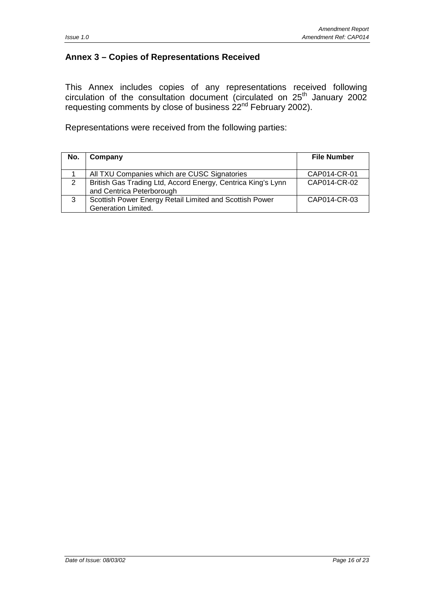### <span id="page-15-0"></span>**Annex 3 – Copies of Representations Received**

This Annex includes copies of any representations received following circulation of the consultation document (circulated on  $25<sup>th</sup>$  January 2002 requesting comments by close of business  $22<sup>nd</sup>$  February 2002).

Representations were received from the following parties:

| No. | Company                                                                                   | <b>File Number</b> |
|-----|-------------------------------------------------------------------------------------------|--------------------|
|     | All TXU Companies which are CUSC Signatories                                              | CAP014-CR-01       |
| 2   | British Gas Trading Ltd, Accord Energy, Centrica King's Lynn<br>and Centrica Peterborough | CAP014-CR-02       |
| 3   | Scottish Power Energy Retail Limited and Scottish Power<br>Generation Limited.            | CAP014-CR-03       |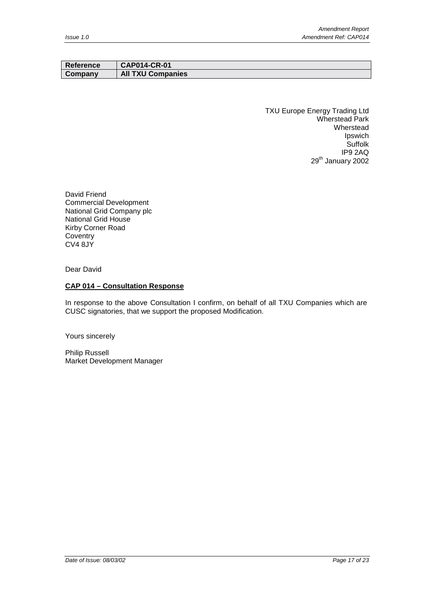| Reference | <b>CAP014-CR-01</b>      |
|-----------|--------------------------|
| Company   | <b>All TXU Companies</b> |

TXU Europe Energy Trading Ltd Wherstead Park Wherstead Ipswich **Suffolk** IP9 2AQ 29<sup>th</sup> January 2002

David Friend Commercial Development National Grid Company plc National Grid House Kirby Corner Road **Coventry** CV4 8JY

Dear David

#### **CAP 014 – Consultation Response**

In response to the above Consultation I confirm, on behalf of all TXU Companies which are CUSC signatories, that we support the proposed Modification.

Yours sincerely

Philip Russell Market Development Manager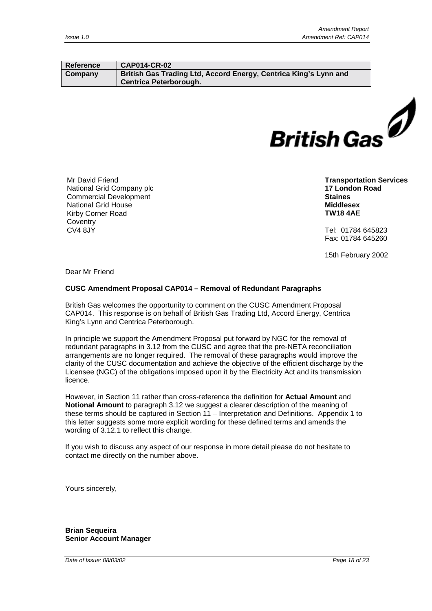#### **Reference CAP014-CR-02 Company British Gas Trading Ltd, Accord Energy, Centrica King's Lynn and Centrica Peterborough.**



Mr David Friend National Grid Company plc Commercial Development National Grid House Kirby Corner Road **Coventry** CV4 8JY

**Transportation Services 17 London Road Staines Middlesex TW18 4AE**

Tel: 01784 645823 Fax: 01784 645260

15th February 2002

Dear Mr Friend

#### **CUSC Amendment Proposal CAP014 – Removal of Redundant Paragraphs**

British Gas welcomes the opportunity to comment on the CUSC Amendment Proposal CAP014. This response is on behalf of British Gas Trading Ltd, Accord Energy, Centrica King's Lynn and Centrica Peterborough.

In principle we support the Amendment Proposal put forward by NGC for the removal of redundant paragraphs in 3.12 from the CUSC and agree that the pre-NETA reconciliation arrangements are no longer required. The removal of these paragraphs would improve the clarity of the CUSC documentation and achieve the objective of the efficient discharge by the Licensee (NGC) of the obligations imposed upon it by the Electricity Act and its transmission licence.

However, in Section 11 rather than cross-reference the definition for **Actual Amount** and **Notional Amount** to paragraph 3.12 we suggest a clearer description of the meaning of these terms should be captured in Section 11 – Interpretation and Definitions. Appendix 1 to this letter suggests some more explicit wording for these defined terms and amends the wording of 3.12.1 to reflect this change.

If you wish to discuss any aspect of our response in more detail please do not hesitate to contact me directly on the number above.

Yours sincerely,

**Brian Sequeira Senior Account Manager**

*Date of Issue: 08/03/02 Page 18 of 23*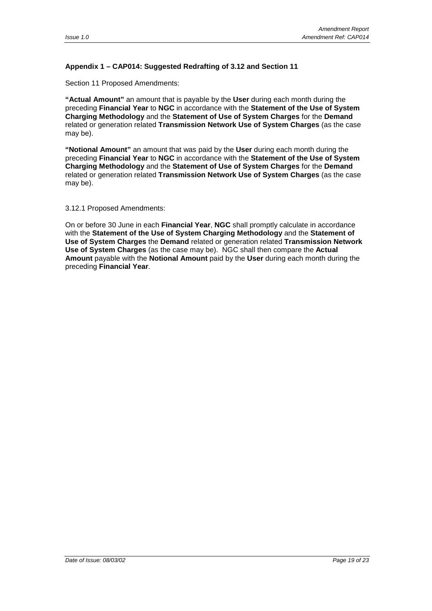### **Appendix 1 – CAP014: Suggested Redrafting of 3.12 and Section 11**

Section 11 Proposed Amendments:

**"Actual Amount"** an amount that is payable by the **User** during each month during the preceding **Financial Year** to **NGC** in accordance with the **Statement of the Use of System Charging Methodology** and the **Statement of Use of System Charges** for the **Demand** related or generation related **Transmission Network Use of System Charges** (as the case may be).

**"Notional Amount"** an amount that was paid by the **User** during each month during the preceding **Financial Year** to **NGC** in accordance with the **Statement of the Use of System Charging Methodology** and the **Statement of Use of System Charges** for the **Demand** related or generation related **Transmission Network Use of System Charges** (as the case may be).

#### 3.12.1 Proposed Amendments:

On or before 30 June in each **Financial Year**, **NGC** shall promptly calculate in accordance with the **Statement of the Use of System Charging Methodology** and the **Statement of Use of System Charges** the **Demand** related or generation related **Transmission Network Use of System Charges** (as the case may be). NGC shall then compare the **Actual Amount** payable with the **Notional Amount** paid by the **User** during each month during the preceding **Financial Year**.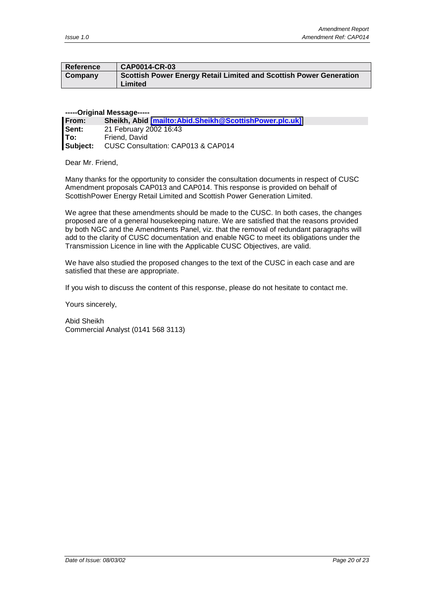| ∣ Reference | CAP0014-CR-03                                                                 |
|-------------|-------------------------------------------------------------------------------|
| Company     | Scottish Power Energy Retail Limited and Scottish Power Generation<br>Limited |
|             |                                                                               |

#### **-----Original Message-----**

| From:    | Sheikh, Abid [mailto: Abid. Sheikh@ScottishPower.plc.uk] |
|----------|----------------------------------------------------------|
| Sent:    | 21 February 2002 16:43                                   |
| lTo:     | Friend, David                                            |
| Subject: | CUSC Consultation: CAP013 & CAP014                       |

Dear Mr. Friend,

Many thanks for the opportunity to consider the consultation documents in respect of CUSC Amendment proposals CAP013 and CAP014. This response is provided on behalf of ScottishPower Energy Retail Limited and Scottish Power Generation Limited.

We agree that these amendments should be made to the CUSC. In both cases, the changes proposed are of a general housekeeping nature. We are satisfied that the reasons provided by both NGC and the Amendments Panel, viz. that the removal of redundant paragraphs will add to the clarity of CUSC documentation and enable NGC to meet its obligations under the Transmission Licence in line with the Applicable CUSC Objectives, are valid.

We have also studied the proposed changes to the text of the CUSC in each case and are satisfied that these are appropriate.

If you wish to discuss the content of this response, please do not hesitate to contact me.

Yours sincerely,

Abid Sheikh Commercial Analyst (0141 568 3113)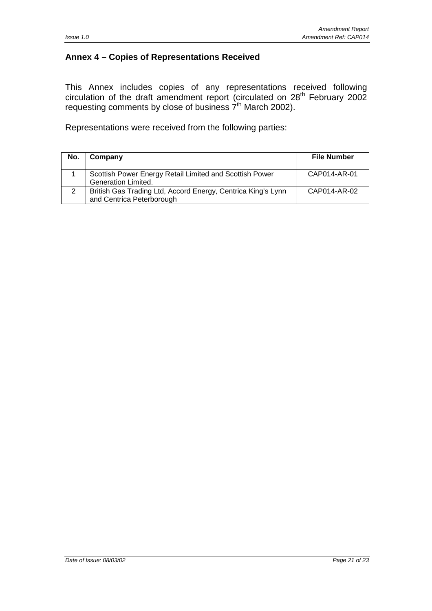### **Annex 4 – Copies of Representations Received**

This Annex includes copies of any representations received following circulation of the draft amendment report (circulated on  $28<sup>th</sup>$  February 2002 requesting comments by close of business  $7<sup>th</sup>$  March 2002).

Representations were received from the following parties:

| No. | Company                                                                                   | <b>File Number</b> |
|-----|-------------------------------------------------------------------------------------------|--------------------|
|     | Scottish Power Energy Retail Limited and Scottish Power<br>Generation Limited.            | CAP014-AR-01       |
| 2   | British Gas Trading Ltd, Accord Energy, Centrica King's Lynn<br>and Centrica Peterborough | CAP014-AR-02       |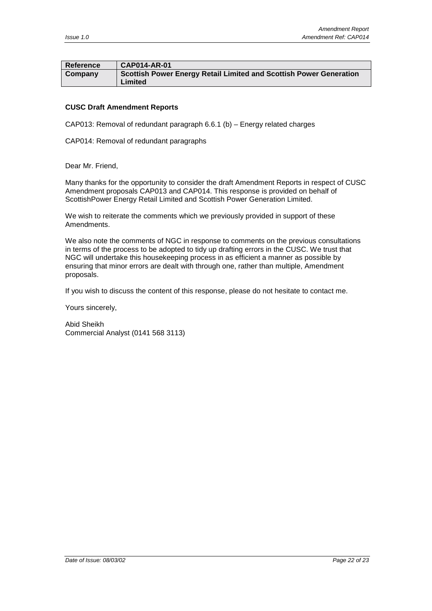| Reference | $\overline{\phantom{0}}$ CAP014-AR-01                                         |
|-----------|-------------------------------------------------------------------------------|
| Company   | Scottish Power Energy Retail Limited and Scottish Power Generation<br>Limited |

### **CUSC Draft Amendment Reports**

CAP013: Removal of redundant paragraph 6.6.1 (b) – Energy related charges

CAP014: Removal of redundant paragraphs

Dear Mr. Friend,

Many thanks for the opportunity to consider the draft Amendment Reports in respect of CUSC Amendment proposals CAP013 and CAP014. This response is provided on behalf of ScottishPower Energy Retail Limited and Scottish Power Generation Limited.

We wish to reiterate the comments which we previously provided in support of these Amendments.

We also note the comments of NGC in response to comments on the previous consultations in terms of the process to be adopted to tidy up drafting errors in the CUSC. We trust that NGC will undertake this housekeeping process in as efficient a manner as possible by ensuring that minor errors are dealt with through one, rather than multiple, Amendment proposals.

If you wish to discuss the content of this response, please do not hesitate to contact me.

Yours sincerely,

Abid Sheikh Commercial Analyst (0141 568 3113)